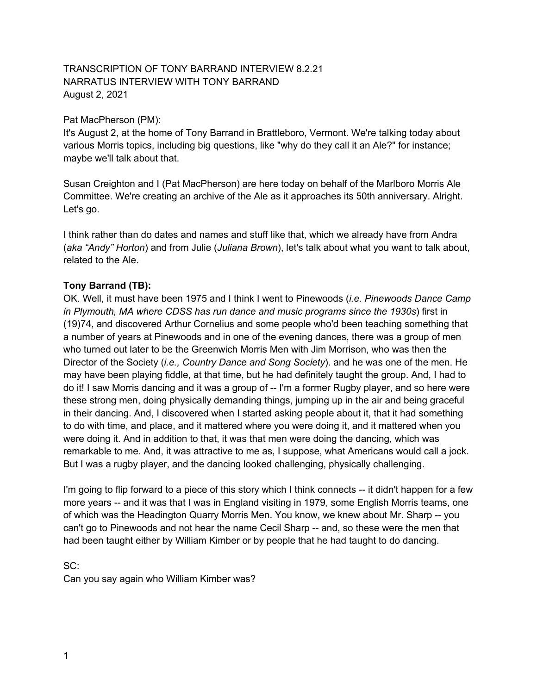#### TRANSCRIPTION OF TONY BARRAND INTERVIEW 8.2.21 NARRATUS INTERVIEW WITH TONY BARRAND August 2, 2021

#### Pat MacPherson (PM):

It's August 2, at the home of Tony Barrand in Brattleboro, Vermont. We're talking today about various Morris topics, including big questions, like "why do they call it an Ale?" for instance; maybe we'll talk about that.

Susan Creighton and I (Pat MacPherson) are here today on behalf of the Marlboro Morris Ale Committee. We're creating an archive of the Ale as it approaches its 50th anniversary. Alright. Let's go.

I think rather than do dates and names and stuff like that, which we already have from Andra (*aka "Andy" Horton*) and from Julie (*Juliana Brown*), let's talk about what you want to talk about, related to the Ale.

#### **Tony Barrand (TB):**

OK. Well, it must have been 1975 and I think I went to Pinewoods (*i.e. Pinewoods Dance Camp in Plymouth, MA where CDSS has run dance and music programs since the 1930s*) first in (19)74, and discovered Arthur Cornelius and some people who'd been teaching something that a number of years at Pinewoods and in one of the evening dances, there was a group of men who turned out later to be the Greenwich Morris Men with Jim Morrison, who was then the Director of the Society (*i.e., Country Dance and Song Society*). and he was one of the men. He may have been playing fiddle, at that time, but he had definitely taught the group. And, I had to do it! I saw Morris dancing and it was a group of -- I'm a former Rugby player, and so here were these strong men, doing physically demanding things, jumping up in the air and being graceful in their dancing. And, I discovered when I started asking people about it, that it had something to do with time, and place, and it mattered where you were doing it, and it mattered when you were doing it. And in addition to that, it was that men were doing the dancing, which was remarkable to me. And, it was attractive to me as, I suppose, what Americans would call a jock. But I was a rugby player, and the dancing looked challenging, physically challenging.

I'm going to flip forward to a piece of this story which I think connects -- it didn't happen for a few more years -- and it was that I was in England visiting in 1979, some English Morris teams, one of which was the Headington Quarry Morris Men. You know, we knew about Mr. Sharp -- you can't go to Pinewoods and not hear the name Cecil Sharp -- and, so these were the men that had been taught either by William Kimber or by people that he had taught to do dancing.

### SC: Can you say again who William Kimber was?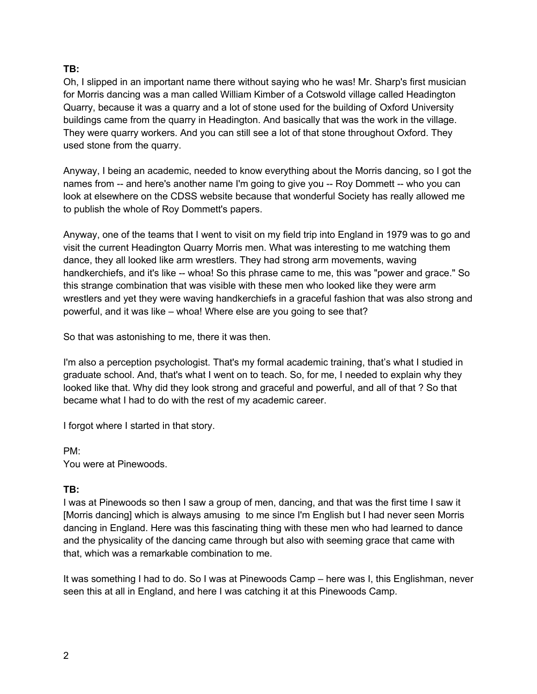Oh, I slipped in an important name there without saying who he was! Mr. Sharp's first musician for Morris dancing was a man called William Kimber of a Cotswold village called Headington Quarry, because it was a quarry and a lot of stone used for the building of Oxford University buildings came from the quarry in Headington. And basically that was the work in the village. They were quarry workers. And you can still see a lot of that stone throughout Oxford. They used stone from the quarry.

Anyway, I being an academic, needed to know everything about the Morris dancing, so I got the names from -- and here's another name I'm going to give you -- Roy Dommett -- who you can look at elsewhere on the CDSS website because that wonderful Society has really allowed me to publish the whole of Roy Dommett's papers.

Anyway, one of the teams that I went to visit on my field trip into England in 1979 was to go and visit the current Headington Quarry Morris men. What was interesting to me watching them dance, they all looked like arm wrestlers. They had strong arm movements, waving handkerchiefs, and it's like -- whoa! So this phrase came to me, this was "power and grace." So this strange combination that was visible with these men who looked like they were arm wrestlers and yet they were waving handkerchiefs in a graceful fashion that was also strong and powerful, and it was like – whoa! Where else are you going to see that?

So that was astonishing to me, there it was then.

I'm also a perception psychologist. That's my formal academic training, that's what I studied in graduate school. And, that's what I went on to teach. So, for me, I needed to explain why they looked like that. Why did they look strong and graceful and powerful, and all of that ? So that became what I had to do with the rest of my academic career.

I forgot where I started in that story.

PM: You were at Pinewoods.

#### **TB:**

I was at Pinewoods so then I saw a group of men, dancing, and that was the first time I saw it [Morris dancing] which is always amusing to me since I'm English but I had never seen Morris dancing in England. Here was this fascinating thing with these men who had learned to dance and the physicality of the dancing came through but also with seeming grace that came with that, which was a remarkable combination to me.

It was something I had to do. So I was at Pinewoods Camp – here was I, this Englishman, never seen this at all in England, and here I was catching it at this Pinewoods Camp.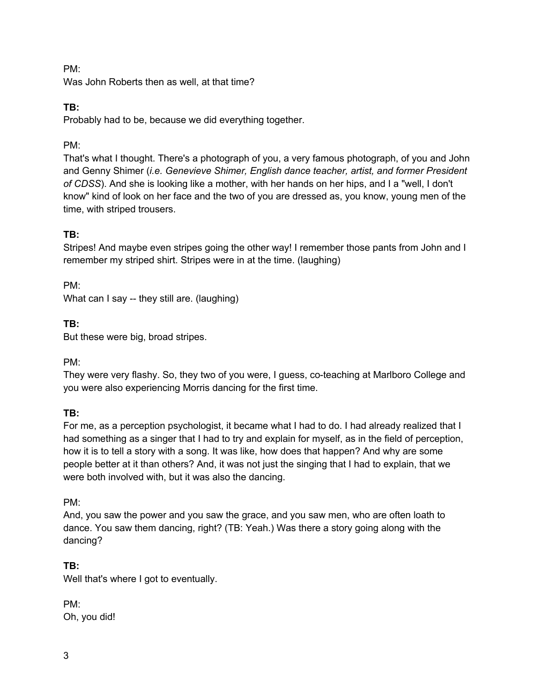#### PM:

Was John Roberts then as well, at that time?

#### **TB:**

Probably had to be, because we did everything together.

#### PM:

That's what I thought. There's a photograph of you, a very famous photograph, of you and John and Genny Shimer (*i.e. Genevieve Shimer, English dance teacher, artist, and former President of CDSS*). And she is looking like a mother, with her hands on her hips, and I a "well, I don't know" kind of look on her face and the two of you are dressed as, you know, young men of the time, with striped trousers.

### **TB:**

Stripes! And maybe even stripes going the other way! I remember those pants from John and I remember my striped shirt. Stripes were in at the time. (laughing)

PM: What can I say -- they still are. (laughing)

### **TB:**

But these were big, broad stripes.

PM:

They were very flashy. So, they two of you were, I guess, co-teaching at Marlboro College and you were also experiencing Morris dancing for the first time.

#### **TB:**

For me, as a perception psychologist, it became what I had to do. I had already realized that I had something as a singer that I had to try and explain for myself, as in the field of perception, how it is to tell a story with a song. It was like, how does that happen? And why are some people better at it than others? And, it was not just the singing that I had to explain, that we were both involved with, but it was also the dancing.

PM:

And, you saw the power and you saw the grace, and you saw men, who are often loath to dance. You saw them dancing, right? (TB: Yeah.) Was there a story going along with the dancing?

### **TB:**

Well that's where I got to eventually.

PM: Oh, you did!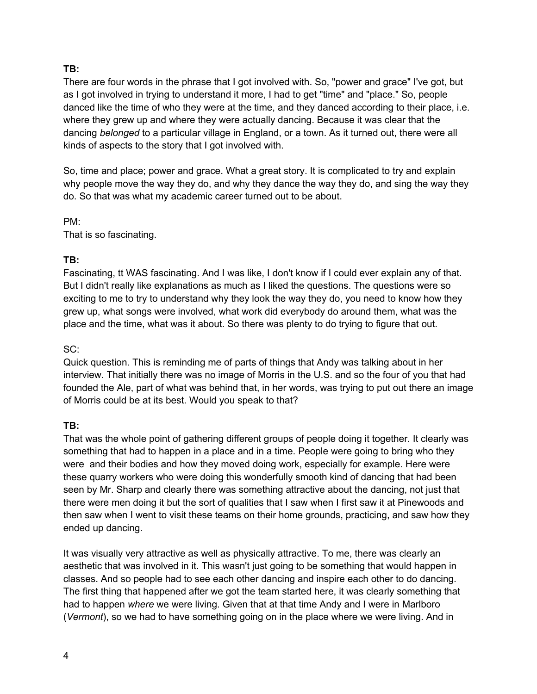There are four words in the phrase that I got involved with. So, "power and grace" I've got, but as I got involved in trying to understand it more, I had to get "time" and "place." So, people danced like the time of who they were at the time, and they danced according to their place, i.e. where they grew up and where they were actually dancing. Because it was clear that the dancing *belonged* to a particular village in England, or a town. As it turned out, there were all kinds of aspects to the story that I got involved with.

So, time and place; power and grace. What a great story. It is complicated to try and explain why people move the way they do, and why they dance the way they do, and sing the way they do. So that was what my academic career turned out to be about.

PM: That is so fascinating.

#### **TB:**

Fascinating, tt WAS fascinating. And I was like, I don't know if I could ever explain any of that. But I didn't really like explanations as much as I liked the questions. The questions were so exciting to me to try to understand why they look the way they do, you need to know how they grew up, what songs were involved, what work did everybody do around them, what was the place and the time, what was it about. So there was plenty to do trying to figure that out.

#### SC:

Quick question. This is reminding me of parts of things that Andy was talking about in her interview. That initially there was no image of Morris in the U.S. and so the four of you that had founded the Ale, part of what was behind that, in her words, was trying to put out there an image of Morris could be at its best. Would you speak to that?

#### **TB:**

That was the whole point of gathering different groups of people doing it together. It clearly was something that had to happen in a place and in a time. People were going to bring who they were and their bodies and how they moved doing work, especially for example. Here were these quarry workers who were doing this wonderfully smooth kind of dancing that had been seen by Mr. Sharp and clearly there was something attractive about the dancing, not just that there were men doing it but the sort of qualities that I saw when I first saw it at Pinewoods and then saw when I went to visit these teams on their home grounds, practicing, and saw how they ended up dancing.

It was visually very attractive as well as physically attractive. To me, there was clearly an aesthetic that was involved in it. This wasn't just going to be something that would happen in classes. And so people had to see each other dancing and inspire each other to do dancing. The first thing that happened after we got the team started here, it was clearly something that had to happen *where* we were living. Given that at that time Andy and I were in Marlboro (*Vermont*), so we had to have something going on in the place where we were living. And in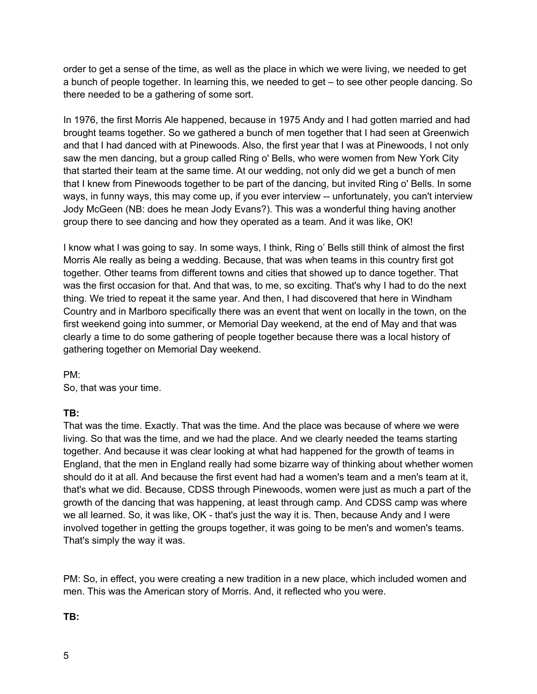order to get a sense of the time, as well as the place in which we were living, we needed to get a bunch of people together. In learning this, we needed to get – to see other people dancing. So there needed to be a gathering of some sort.

In 1976, the first Morris Ale happened, because in 1975 Andy and I had gotten married and had brought teams together. So we gathered a bunch of men together that I had seen at Greenwich and that I had danced with at Pinewoods. Also, the first year that I was at Pinewoods, I not only saw the men dancing, but a group called Ring o' Bells, who were women from New York City that started their team at the same time. At our wedding, not only did we get a bunch of men that I knew from Pinewoods together to be part of the dancing, but invited Ring o' Bells. In some ways, in funny ways, this may come up, if you ever interview -- unfortunately, you can't interview Jody McGeen (NB: does he mean Jody Evans?). This was a wonderful thing having another group there to see dancing and how they operated as a team. And it was like, OK!

I know what I was going to say. In some ways, I think, Ring o' Bells still think of almost the first Morris Ale really as being a wedding. Because, that was when teams in this country first got together. Other teams from different towns and cities that showed up to dance together. That was the first occasion for that. And that was, to me, so exciting. That's why I had to do the next thing. We tried to repeat it the same year. And then, I had discovered that here in Windham Country and in Marlboro specifically there was an event that went on locally in the town, on the first weekend going into summer, or Memorial Day weekend, at the end of May and that was clearly a time to do some gathering of people together because there was a local history of gathering together on Memorial Day weekend.

PM:

So, that was your time.

#### **TB:**

That was the time. Exactly. That was the time. And the place was because of where we were living. So that was the time, and we had the place. And we clearly needed the teams starting together. And because it was clear looking at what had happened for the growth of teams in England, that the men in England really had some bizarre way of thinking about whether women should do it at all. And because the first event had had a women's team and a men's team at it, that's what we did. Because, CDSS through Pinewoods, women were just as much a part of the growth of the dancing that was happening, at least through camp. And CDSS camp was where we all learned. So, it was like, OK - that's just the way it is. Then, because Andy and I were involved together in getting the groups together, it was going to be men's and women's teams. That's simply the way it was.

PM: So, in effect, you were creating a new tradition in a new place, which included women and men. This was the American story of Morris. And, it reflected who you were.

### **TB:**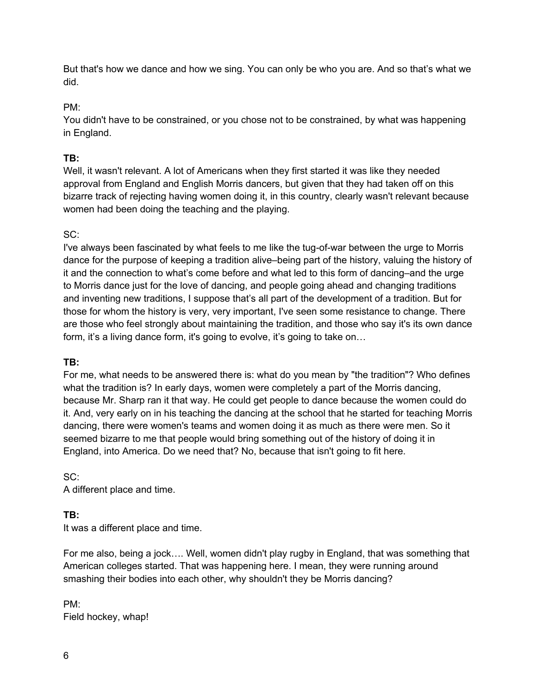But that's how we dance and how we sing. You can only be who you are. And so that's what we did.

#### PM:

You didn't have to be constrained, or you chose not to be constrained, by what was happening in England.

### **TB:**

Well, it wasn't relevant. A lot of Americans when they first started it was like they needed approval from England and English Morris dancers, but given that they had taken off on this bizarre track of rejecting having women doing it, in this country, clearly wasn't relevant because women had been doing the teaching and the playing.

### SC:

I've always been fascinated by what feels to me like the tug-of-war between the urge to Morris dance for the purpose of keeping a tradition alive–being part of the history, valuing the history of it and the connection to what's come before and what led to this form of dancing–and the urge to Morris dance just for the love of dancing, and people going ahead and changing traditions and inventing new traditions, I suppose that's all part of the development of a tradition. But for those for whom the history is very, very important, I've seen some resistance to change. There are those who feel strongly about maintaining the tradition, and those who say it's its own dance form, it's a living dance form, it's going to evolve, it's going to take on...

### **TB:**

For me, what needs to be answered there is: what do you mean by "the tradition"? Who defines what the tradition is? In early days, women were completely a part of the Morris dancing, because Mr. Sharp ran it that way. He could get people to dance because the women could do it. And, very early on in his teaching the dancing at the school that he started for teaching Morris dancing, there were women's teams and women doing it as much as there were men. So it seemed bizarre to me that people would bring something out of the history of doing it in England, into America. Do we need that? No, because that isn't going to fit here.

#### SC:

A different place and time.

### **TB:**

It was a different place and time.

For me also, being a jock…. Well, women didn't play rugby in England, that was something that American colleges started. That was happening here. I mean, they were running around smashing their bodies into each other, why shouldn't they be Morris dancing?

PM: Field hockey, whap!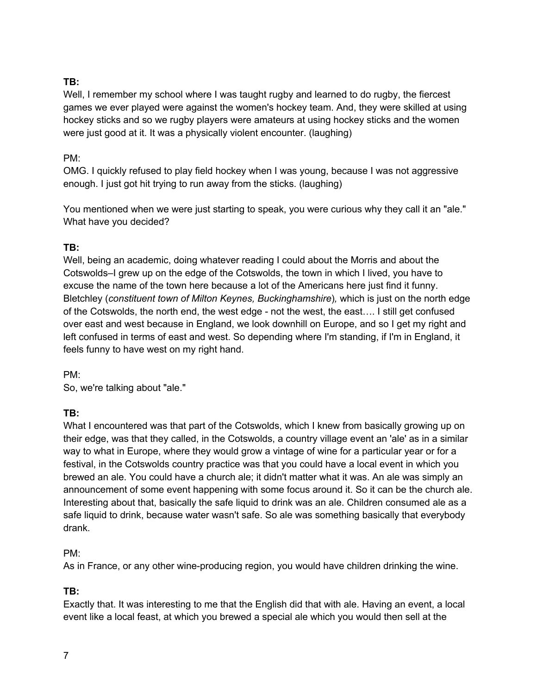Well, I remember my school where I was taught rugby and learned to do rugby, the fiercest games we ever played were against the women's hockey team. And, they were skilled at using hockey sticks and so we rugby players were amateurs at using hockey sticks and the women were just good at it. It was a physically violent encounter. (laughing)

#### PM:

OMG. I quickly refused to play field hockey when I was young, because I was not aggressive enough. I just got hit trying to run away from the sticks. (laughing)

You mentioned when we were just starting to speak, you were curious why they call it an "ale." What have you decided?

### **TB:**

Well, being an academic, doing whatever reading I could about the Morris and about the Cotswolds–I grew up on the edge of the Cotswolds, the town in which I lived, you have to excuse the name of the town here because a lot of the Americans here just find it funny. Bletchley (*constituent town of Milton Keynes, Buckinghamshire*)*,* which is just on the north edge of the Cotswolds, the north end, the west edge - not the west, the east…. I still get confused over east and west because in England, we look downhill on Europe, and so I get my right and left confused in terms of east and west. So depending where I'm standing, if I'm in England, it feels funny to have west on my right hand.

PM:

So, we're talking about "ale."

#### **TB:**

What I encountered was that part of the Cotswolds, which I knew from basically growing up on their edge, was that they called, in the Cotswolds, a country village event an 'ale' as in a similar way to what in Europe, where they would grow a vintage of wine for a particular year or for a festival, in the Cotswolds country practice was that you could have a local event in which you brewed an ale. You could have a church ale; it didn't matter what it was. An ale was simply an announcement of some event happening with some focus around it. So it can be the church ale. Interesting about that, basically the safe liquid to drink was an ale. Children consumed ale as a safe liquid to drink, because water wasn't safe. So ale was something basically that everybody drank.

#### PM:

As in France, or any other wine-producing region, you would have children drinking the wine.

#### **TB:**

Exactly that. It was interesting to me that the English did that with ale. Having an event, a local event like a local feast, at which you brewed a special ale which you would then sell at the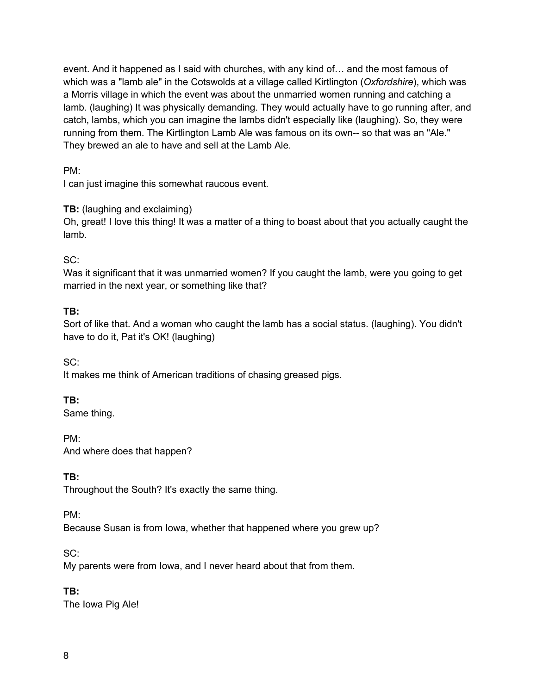event. And it happened as I said with churches, with any kind of… and the most famous of which was a "lamb ale" in the Cotswolds at a village called Kirtlington (*Oxfordshire*), which was a Morris village in which the event was about the unmarried women running and catching a lamb. (laughing) It was physically demanding. They would actually have to go running after, and catch, lambs, which you can imagine the lambs didn't especially like (laughing). So, they were running from them. The Kirtlington Lamb Ale was famous on its own-- so that was an "Ale." They brewed an ale to have and sell at the Lamb Ale.

PM:

I can just imagine this somewhat raucous event.

**TB:** (laughing and exclaiming)

Oh, great! I love this thing! It was a matter of a thing to boast about that you actually caught the lamb.

SC:

Was it significant that it was unmarried women? If you caught the lamb, were you going to get married in the next year, or something like that?

#### **TB:**

Sort of like that. And a woman who caught the lamb has a social status. (laughing). You didn't have to do it, Pat it's OK! (laughing)

SC: It makes me think of American traditions of chasing greased pigs.

### **TB:**

Same thing.

PM: And where does that happen?

**TB:**

Throughout the South? It's exactly the same thing.

PM:

Because Susan is from Iowa, whether that happened where you grew up?

SC:

My parents were from Iowa, and I never heard about that from them.

**TB:**

The Iowa Pig Ale!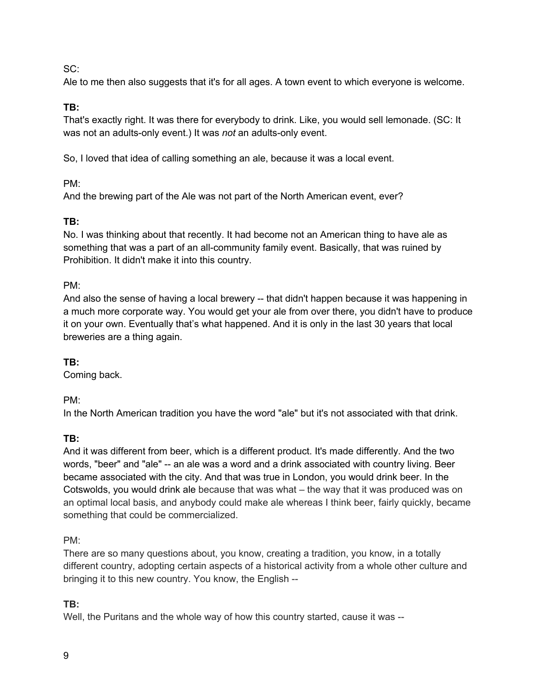#### SC:

Ale to me then also suggests that it's for all ages. A town event to which everyone is welcome.

### **TB:**

That's exactly right. It was there for everybody to drink. Like, you would sell lemonade. (SC: It was not an adults-only event.) It was *not* an adults-only event.

So, I loved that idea of calling something an ale, because it was a local event.

#### PM:

And the brewing part of the Ale was not part of the North American event, ever?

### **TB:**

No. I was thinking about that recently. It had become not an American thing to have ale as something that was a part of an all-community family event. Basically, that was ruined by Prohibition. It didn't make it into this country.

### PM:

And also the sense of having a local brewery -- that didn't happen because it was happening in a much more corporate way. You would get your ale from over there, you didn't have to produce it on your own. Eventually that's what happened. And it is only in the last 30 years that local breweries are a thing again.

### **TB:**

Coming back.

PM:

In the North American tradition you have the word "ale" but it's not associated with that drink.

### **TB:**

And it was different from beer, which is a different product. It's made differently. And the two words, "beer" and "ale" -- an ale was a word and a drink associated with country living. Beer became associated with the city. And that was true in London, you would drink beer. In the Cotswolds, you would drink ale because that was what – the way that it was produced was on an optimal local basis, and anybody could make ale whereas I think beer, fairly quickly, became something that could be commercialized.

#### PM:

There are so many questions about, you know, creating a tradition, you know, in a totally different country, adopting certain aspects of a historical activity from a whole other culture and bringing it to this new country. You know, the English --

### **TB:**

Well, the Puritans and the whole way of how this country started, cause it was --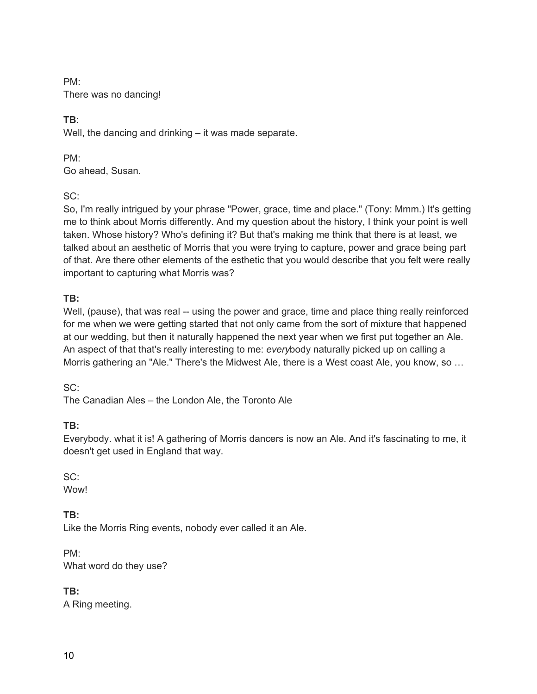PM: There was no dancing!

# **TB**:

Well, the dancing and drinking – it was made separate.

PM: Go ahead, Susan.

SC:

So, I'm really intrigued by your phrase "Power, grace, time and place." (Tony: Mmm.) It's getting me to think about Morris differently. And my question about the history, I think your point is well taken. Whose history? Who's defining it? But that's making me think that there is at least, we talked about an aesthetic of Morris that you were trying to capture, power and grace being part of that. Are there other elements of the esthetic that you would describe that you felt were really important to capturing what Morris was?

## **TB:**

Well, (pause), that was real -- using the power and grace, time and place thing really reinforced for me when we were getting started that not only came from the sort of mixture that happened at our wedding, but then it naturally happened the next year when we first put together an Ale. An aspect of that that's really interesting to me: *every*body naturally picked up on calling a Morris gathering an "Ale." There's the Midwest Ale, there is a West coast Ale, you know, so …

SC:

The Canadian Ales – the London Ale, the Toronto Ale

# **TB:**

Everybody. what it is! A gathering of Morris dancers is now an Ale. And it's fascinating to me, it doesn't get used in England that way.

SC:

**Wow!** 

# **TB:**

Like the Morris Ring events, nobody ever called it an Ale.

PM: What word do they use?

**TB:**

A Ring meeting.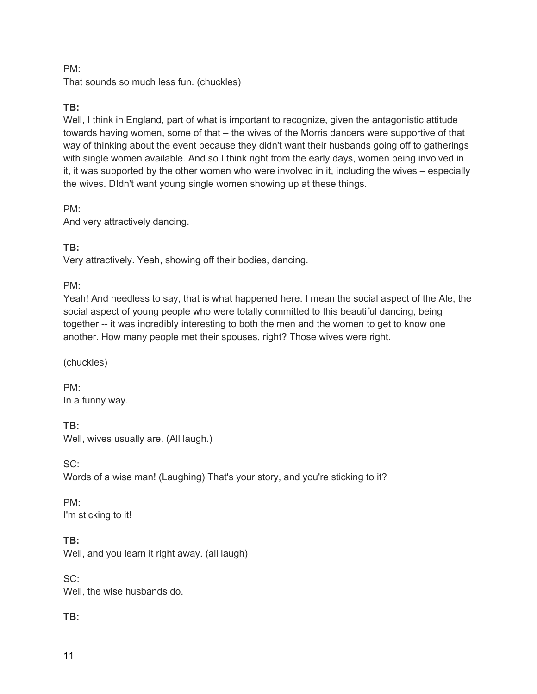#### PM:

That sounds so much less fun. (chuckles)

#### **TB:**

Well, I think in England, part of what is important to recognize, given the antagonistic attitude towards having women, some of that – the wives of the Morris dancers were supportive of that way of thinking about the event because they didn't want their husbands going off to gatherings with single women available. And so I think right from the early days, women being involved in it, it was supported by the other women who were involved in it, including the wives – especially the wives. DIdn't want young single women showing up at these things.

PM:

And very attractively dancing.

#### **TB:**

Very attractively. Yeah, showing off their bodies, dancing.

#### PM:

Yeah! And needless to say, that is what happened here. I mean the social aspect of the Ale, the social aspect of young people who were totally committed to this beautiful dancing, being together -- it was incredibly interesting to both the men and the women to get to know one another. How many people met their spouses, right? Those wives were right.

(chuckles)

PM: In a funny way.

### **TB:**

Well, wives usually are. (All laugh.)

SC: Words of a wise man! (Laughing) That's your story, and you're sticking to it?

PM: I'm sticking to it!

**TB:** Well, and you learn it right away. (all laugh)

SC: Well, the wise husbands do.

### **TB:**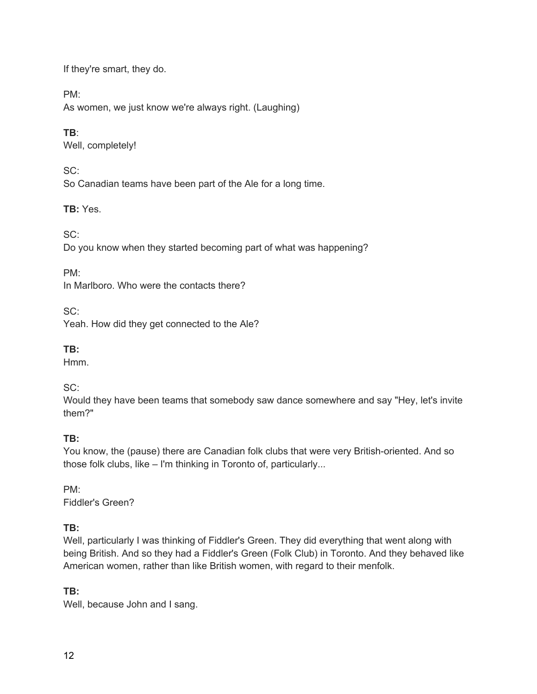If they're smart, they do.

PM:

As women, we just know we're always right. (Laughing)

### **TB**:

Well, completely!

 $SC<sup>2</sup>$ 

So Canadian teams have been part of the Ale for a long time.

### **TB:** Yes.

SC:

Do you know when they started becoming part of what was happening?

PM:

In Marlboro. Who were the contacts there?

SC:

Yeah. How did they get connected to the Ale?

### **TB:**

Hmm.

### SC:

Would they have been teams that somebody saw dance somewhere and say "Hey, let's invite them?"

### **TB:**

You know, the (pause) there are Canadian folk clubs that were very British-oriented. And so those folk clubs, like – I'm thinking in Toronto of, particularly...

PM: Fiddler's Green?

# **TB:**

Well, particularly I was thinking of Fiddler's Green. They did everything that went along with being British. And so they had a Fiddler's Green (Folk Club) in Toronto. And they behaved like American women, rather than like British women, with regard to their menfolk.

# **TB:**

Well, because John and I sang.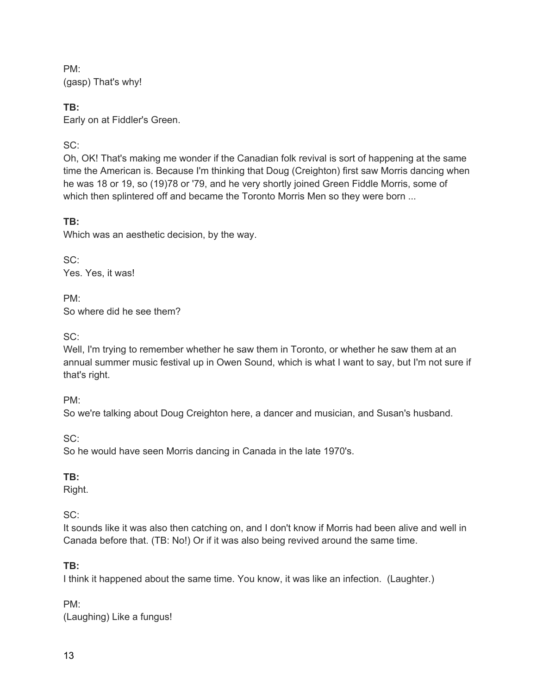PM: (gasp) That's why!

**TB:** Early on at Fiddler's Green.

# SC:

Oh, OK! That's making me wonder if the Canadian folk revival is sort of happening at the same time the American is. Because I'm thinking that Doug (Creighton) first saw Morris dancing when he was 18 or 19, so (19)78 or '79, and he very shortly joined Green Fiddle Morris, some of which then splintered off and became the Toronto Morris Men so they were born ...

## **TB:**

Which was an aesthetic decision, by the way.

SC: Yes. Yes, it was!

PM: So where did he see them?

 $SC<sup>2</sup>$ 

Well, I'm trying to remember whether he saw them in Toronto, or whether he saw them at an annual summer music festival up in Owen Sound, which is what I want to say, but I'm not sure if that's right.

PM:

So we're talking about Doug Creighton here, a dancer and musician, and Susan's husband.

SC:

So he would have seen Morris dancing in Canada in the late 1970's.

# **TB:**

Right.

SC:

It sounds like it was also then catching on, and I don't know if Morris had been alive and well in Canada before that. (TB: No!) Or if it was also being revived around the same time.

# **TB:**

I think it happened about the same time. You know, it was like an infection. (Laughter.)

PM: (Laughing) Like a fungus!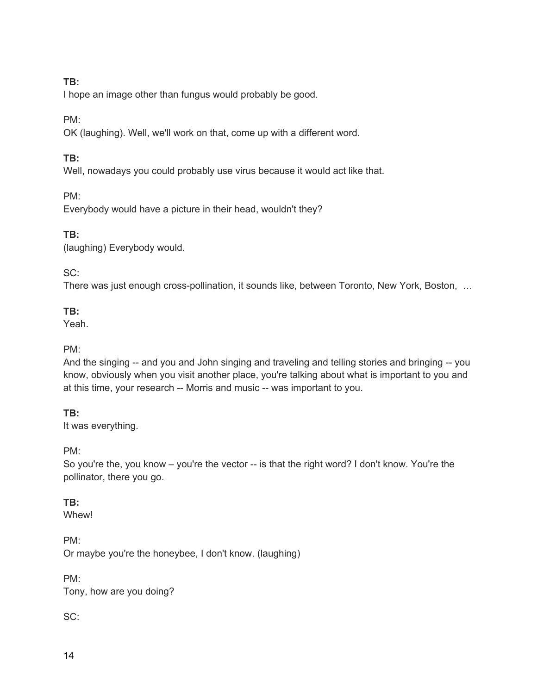I hope an image other than fungus would probably be good.

PM:

OK (laughing). Well, we'll work on that, come up with a different word.

#### **TB:**

Well, nowadays you could probably use virus because it would act like that.

PM:

Everybody would have a picture in their head, wouldn't they?

### **TB:**

(laughing) Everybody would.

### SC:

There was just enough cross-pollination, it sounds like, between Toronto, New York, Boston, …

### **TB:**

Yeah.

### PM:

And the singing -- and you and John singing and traveling and telling stories and bringing -- you know, obviously when you visit another place, you're talking about what is important to you and at this time, your research -- Morris and music -- was important to you.

### **TB:**

It was everything.

PM:

So you're the, you know – you're the vector -- is that the right word? I don't know. You're the pollinator, there you go.

### **TB:**

Whew!

PM: Or maybe you're the honeybee, I don't know. (laughing)

PM: Tony, how are you doing?

### SC: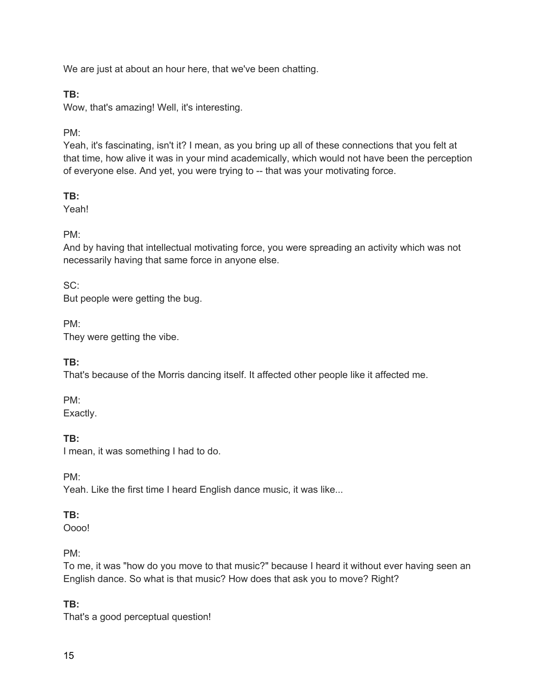We are just at about an hour here, that we've been chatting.

#### **TB:**

Wow, that's amazing! Well, it's interesting.

#### PM:

Yeah, it's fascinating, isn't it? I mean, as you bring up all of these connections that you felt at that time, how alive it was in your mind academically, which would not have been the perception of everyone else. And yet, you were trying to -- that was your motivating force.

### **TB:**

Yeah!

### PM:

And by having that intellectual motivating force, you were spreading an activity which was not necessarily having that same force in anyone else.

#### SC:

But people were getting the bug.

PM:

They were getting the vibe.

### **TB:**

That's because of the Morris dancing itself. It affected other people like it affected me.

PM:

Exactly.

### **TB:**

I mean, it was something I had to do.

PM:

Yeah. Like the first time I heard English dance music, it was like...

### **TB:**

Oooo!

### PM:

To me, it was "how do you move to that music?" because I heard it without ever having seen an English dance. So what is that music? How does that ask you to move? Right?

### **TB:**

That's a good perceptual question!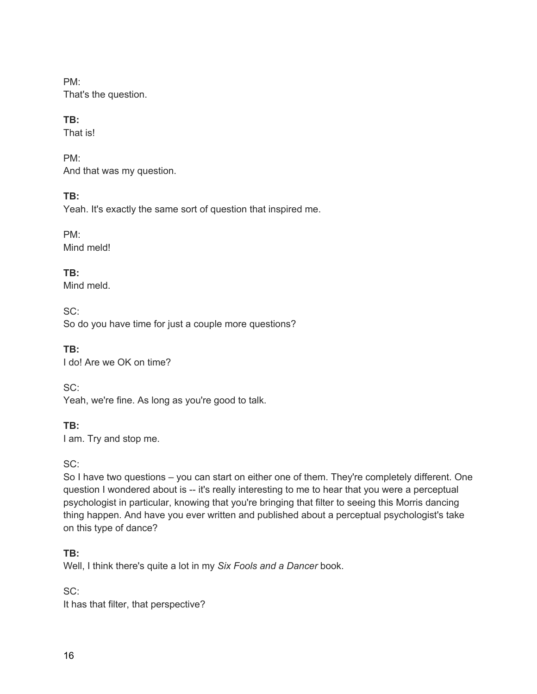PM: That's the question.

# **TB:**

That is!

PM: And that was my question.

# **TB:**

Yeah. It's exactly the same sort of question that inspired me.

PM: Mind meld!

**TB:** Mind meld.

SC: So do you have time for just a couple more questions?

**TB:** I do! Are we OK on time?

SC:

Yeah, we're fine. As long as you're good to talk.

**TB:**

I am. Try and stop me.

SC:

So I have two questions – you can start on either one of them. They're completely different. One question I wondered about is -- it's really interesting to me to hear that you were a perceptual psychologist in particular, knowing that you're bringing that filter to seeing this Morris dancing thing happen. And have you ever written and published about a perceptual psychologist's take on this type of dance?

# **TB:**

Well, I think there's quite a lot in my *Six Fools and a Dancer* book.

SC:

It has that filter, that perspective?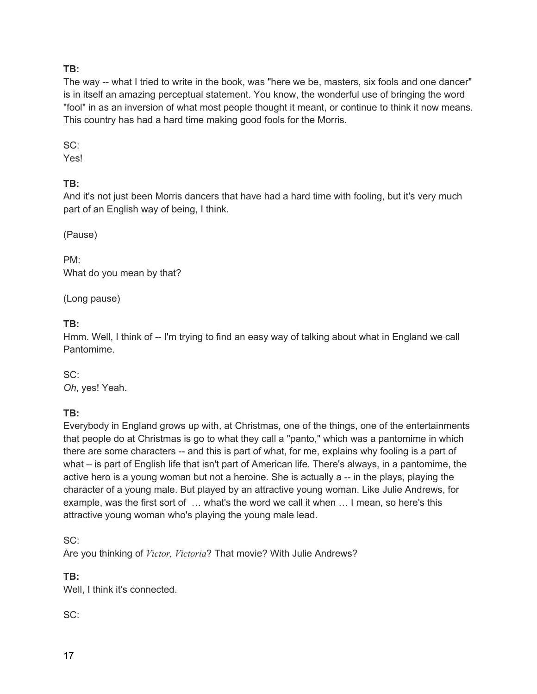The way -- what I tried to write in the book, was "here we be, masters, six fools and one dancer" is in itself an amazing perceptual statement. You know, the wonderful use of bringing the word "fool" in as an inversion of what most people thought it meant, or continue to think it now means. This country has had a hard time making good fools for the Morris.

SC:

Yes!

### **TB:**

And it's not just been Morris dancers that have had a hard time with fooling, but it's very much part of an English way of being, I think.

(Pause)

PM: What do you mean by that?

(Long pause)

### **TB:**

Hmm. Well, I think of -- I'm trying to find an easy way of talking about what in England we call Pantomime.

SC:

*Oh*, yes! Yeah.

### **TB:**

Everybody in England grows up with, at Christmas, one of the things, one of the entertainments that people do at Christmas is go to what they call a "panto," which was a pantomime in which there are some characters -- and this is part of what, for me, explains why fooling is a part of what – is part of English life that isn't part of American life. There's always, in a pantomime, the active hero is a young woman but not a heroine. She is actually a -- in the plays, playing the character of a young male. But played by an attractive young woman. Like Julie Andrews, for example, was the first sort of … what's the word we call it when … I mean, so here's this attractive young woman who's playing the young male lead.

SC:

Are you thinking of *Victor, Victoria*? That movie? With Julie Andrews?

**TB:**

Well, I think it's connected.

SC: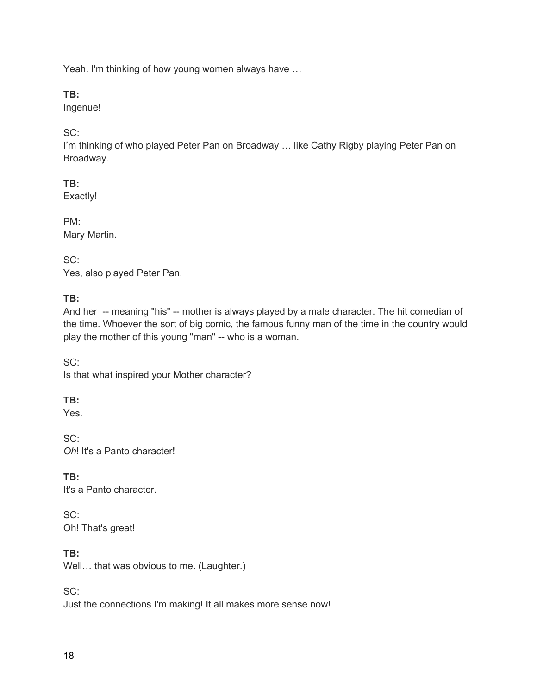Yeah. I'm thinking of how young women always have …

#### **TB:**

Ingenue!

#### SC:

I'm thinking of who played Peter Pan on Broadway ... like Cathy Rigby playing Peter Pan on Broadway.

#### **TB:**

Exactly!

PM: Mary Martin.

SC: Yes, also played Peter Pan.

#### **TB:**

And her -- meaning "his" -- mother is always played by a male character. The hit comedian of the time. Whoever the sort of big comic, the famous funny man of the time in the country would play the mother of this young "man" -- who is a woman.

SC: Is that what inspired your Mother character?

### **TB:**

Yes.

SC: *Oh*! It's a Panto character!

**TB:** It's a Panto character.

SC: Oh! That's great!

### **TB:**

Well... that was obvious to me. (Laughter.)

SC:

Just the connections I'm making! It all makes more sense now!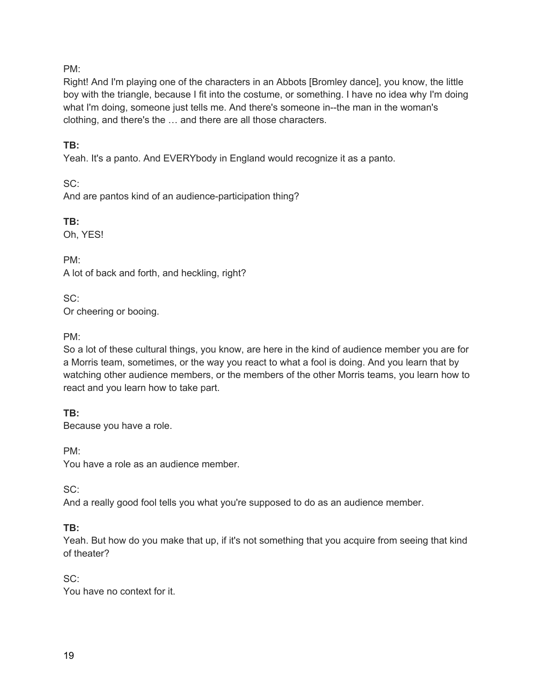#### PM:

Right! And I'm playing one of the characters in an Abbots [Bromley dance], you know, the little boy with the triangle, because I fit into the costume, or something. I have no idea why I'm doing what I'm doing, someone just tells me. And there's someone in--the man in the woman's clothing, and there's the … and there are all those characters.

#### **TB:**

Yeah. It's a panto. And EVERYbody in England would recognize it as a panto.

 $SC<sup>+</sup>$ And are pantos kind of an audience-participation thing?

**TB:** Oh, YES!

PM: A lot of back and forth, and heckling, right?

SC: Or cheering or booing.

PM:

So a lot of these cultural things, you know, are here in the kind of audience member you are for a Morris team, sometimes, or the way you react to what a fool is doing. And you learn that by watching other audience members, or the members of the other Morris teams, you learn how to react and you learn how to take part.

**TB:**

Because you have a role.

PM:

You have a role as an audience member.

SC:

And a really good fool tells you what you're supposed to do as an audience member.

#### **TB:**

Yeah. But how do you make that up, if it's not something that you acquire from seeing that kind of theater?

SC: You have no context for it.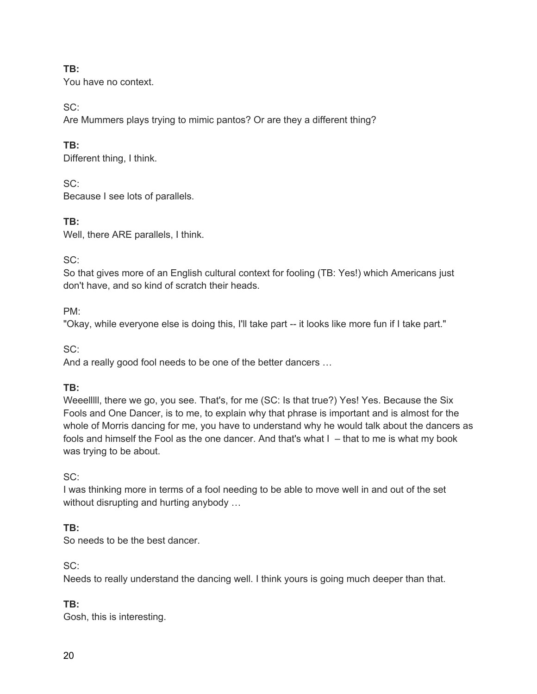You have no context.

 $SC<sup>2</sup>$ 

Are Mummers plays trying to mimic pantos? Or are they a different thing?

# **TB:**

Different thing, I think.

 $SC<sup>2</sup>$ 

Because I see lots of parallels.

**TB:** 

Well, there ARE parallels, I think.

# SC:

So that gives more of an English cultural context for fooling (TB: Yes!) which Americans just don't have, and so kind of scratch their heads.

PM:

"Okay, while everyone else is doing this, I'll take part -- it looks like more fun if I take part."

SC:

And a really good fool needs to be one of the better dancers …

# **TB:**

Weeelllll, there we go, you see. That's, for me (SC: Is that true?) Yes! Yes. Because the Six Fools and One Dancer, is to me, to explain why that phrase is important and is almost for the whole of Morris dancing for me, you have to understand why he would talk about the dancers as fools and himself the Fool as the one dancer. And that's what I – that to me is what my book was trying to be about.

# SC:

I was thinking more in terms of a fool needing to be able to move well in and out of the set without disrupting and hurting anybody ...

# **TB:**

So needs to be the best dancer.

SC:

Needs to really understand the dancing well. I think yours is going much deeper than that.

# **TB:**

Gosh, this is interesting.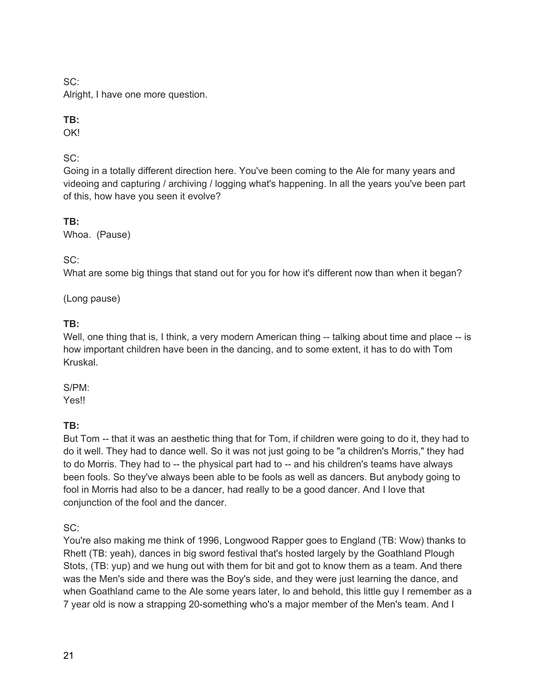SC:

Alright, I have one more question.

## **TB:**

OK!

## SC:

Going in a totally different direction here. You've been coming to the Ale for many years and videoing and capturing / archiving / logging what's happening. In all the years you've been part of this, how have you seen it evolve?

## **TB:**

Whoa. (Pause)

SC:

What are some big things that stand out for you for how it's different now than when it began?

(Long pause)

### **TB:**

Well, one thing that is, I think, a very modern American thing -- talking about time and place -- is how important children have been in the dancing, and to some extent, it has to do with Tom Kruskal.

#### S/PM:

Yes!!

### **TB:**

But Tom -- that it was an aesthetic thing that for Tom, if children were going to do it, they had to do it well. They had to dance well. So it was not just going to be "a children's Morris," they had to do Morris. They had to -- the physical part had to -- and his children's teams have always been fools. So they've always been able to be fools as well as dancers. But anybody going to fool in Morris had also to be a dancer, had really to be a good dancer. And I love that conjunction of the fool and the dancer.

 $SC<sup>+</sup>$ 

You're also making me think of 1996, Longwood Rapper goes to England (TB: Wow) thanks to Rhett (TB: yeah), dances in big sword festival that's hosted largely by the Goathland Plough Stots, (TB: yup) and we hung out with them for bit and got to know them as a team. And there was the Men's side and there was the Boy's side, and they were just learning the dance, and when Goathland came to the Ale some years later, lo and behold, this little guy I remember as a 7 year old is now a strapping 20-something who's a major member of the Men's team. And I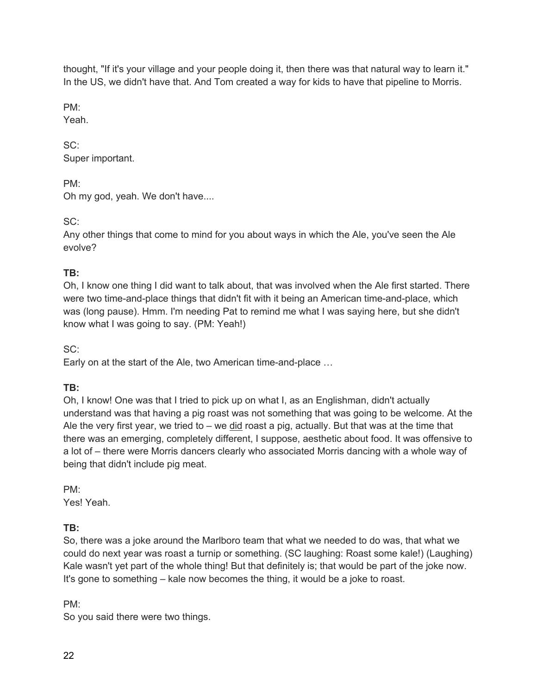thought, "If it's your village and your people doing it, then there was that natural way to learn it." In the US, we didn't have that. And Tom created a way for kids to have that pipeline to Morris.

PM:

Yeah.

SC: Super important.

PM:

Oh my god, yeah. We don't have....

SC:

Any other things that come to mind for you about ways in which the Ale, you've seen the Ale evolve?

# **TB:**

Oh, I know one thing I did want to talk about, that was involved when the Ale first started. There were two time-and-place things that didn't fit with it being an American time-and-place, which was (long pause). Hmm. I'm needing Pat to remind me what I was saying here, but she didn't know what I was going to say. (PM: Yeah!)

SC:

Early on at the start of the Ale, two American time-and-place …

# **TB:**

Oh, I know! One was that I tried to pick up on what I, as an Englishman, didn't actually understand was that having a pig roast was not something that was going to be welcome. At the Ale the very first year, we tried to – we  $\underline{\text{did}}$  roast a pig, actually. But that was at the time that there was an emerging, completely different, I suppose, aesthetic about food. It was offensive to a lot of – there were Morris dancers clearly who associated Morris dancing with a whole way of being that didn't include pig meat.

PM:

Yes! Yeah.

# **TB:**

So, there was a joke around the Marlboro team that what we needed to do was, that what we could do next year was roast a turnip or something. (SC laughing: Roast some kale!) (Laughing) Kale wasn't yet part of the whole thing! But that definitely is; that would be part of the joke now. It's gone to something – kale now becomes the thing, it would be a joke to roast.

PM:

So you said there were two things.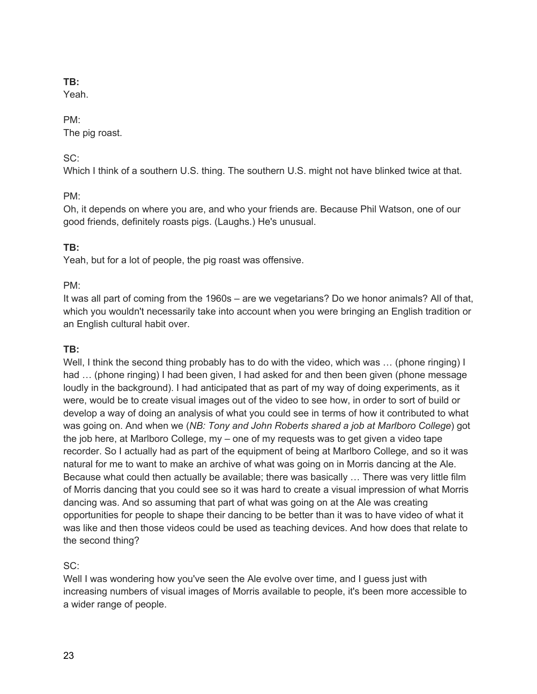Yeah.

#### PM:

The pig roast.

### SC:

Which I think of a southern U.S. thing. The southern U.S. might not have blinked twice at that.

## PM:

Oh, it depends on where you are, and who your friends are. Because Phil Watson, one of our good friends, definitely roasts pigs. (Laughs.) He's unusual.

## **TB:**

Yeah, but for a lot of people, the pig roast was offensive.

### PM:

It was all part of coming from the 1960s – are we vegetarians? Do we honor animals? All of that, which you wouldn't necessarily take into account when you were bringing an English tradition or an English cultural habit over.

### **TB:**

Well, I think the second thing probably has to do with the video, which was ... (phone ringing) I had … (phone ringing) I had been given, I had asked for and then been given (phone message loudly in the background). I had anticipated that as part of my way of doing experiments, as it were, would be to create visual images out of the video to see how, in order to sort of build or develop a way of doing an analysis of what you could see in terms of how it contributed to what was going on. And when we (*NB: Tony and John Roberts shared a job at Marlboro College*) got the job here, at Marlboro College, my – one of my requests was to get given a video tape recorder. So I actually had as part of the equipment of being at Marlboro College, and so it was natural for me to want to make an archive of what was going on in Morris dancing at the Ale. Because what could then actually be available; there was basically … There was very little film of Morris dancing that you could see so it was hard to create a visual impression of what Morris dancing was. And so assuming that part of what was going on at the Ale was creating opportunities for people to shape their dancing to be better than it was to have video of what it was like and then those videos could be used as teaching devices. And how does that relate to the second thing?

### SC:

Well I was wondering how you've seen the Ale evolve over time, and I guess just with increasing numbers of visual images of Morris available to people, it's been more accessible to a wider range of people.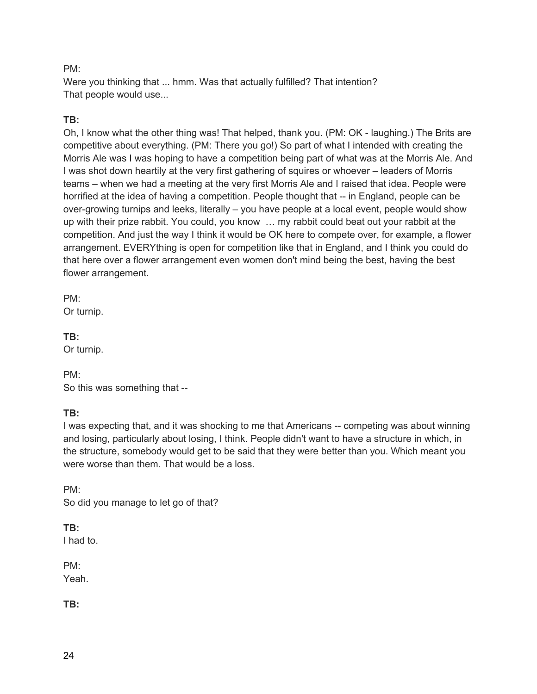#### PM:

Were you thinking that ... hmm. Was that actually fulfilled? That intention? That people would use...

### **TB:**

Oh, I know what the other thing was! That helped, thank you. (PM: OK - laughing.) The Brits are competitive about everything. (PM: There you go!) So part of what I intended with creating the Morris Ale was I was hoping to have a competition being part of what was at the Morris Ale. And I was shot down heartily at the very first gathering of squires or whoever – leaders of Morris teams – when we had a meeting at the very first Morris Ale and I raised that idea. People were horrified at the idea of having a competition. People thought that -- in England, people can be over-growing turnips and leeks, literally – you have people at a local event, people would show up with their prize rabbit. You could, you know … my rabbit could beat out your rabbit at the competition. And just the way I think it would be OK here to compete over, for example, a flower arrangement. EVERYthing is open for competition like that in England, and I think you could do that here over a flower arrangement even women don't mind being the best, having the best flower arrangement.

PM: Or turnip.

#### **TB:**

Or turnip.

PM: So this was something that --

### **TB:**

I was expecting that, and it was shocking to me that Americans -- competing was about winning and losing, particularly about losing, I think. People didn't want to have a structure in which, in the structure, somebody would get to be said that they were better than you. Which meant you were worse than them. That would be a loss.

PM: So did you manage to let go of that?

### **TB:**

I had to.

PM: Yeah.

### **TB:**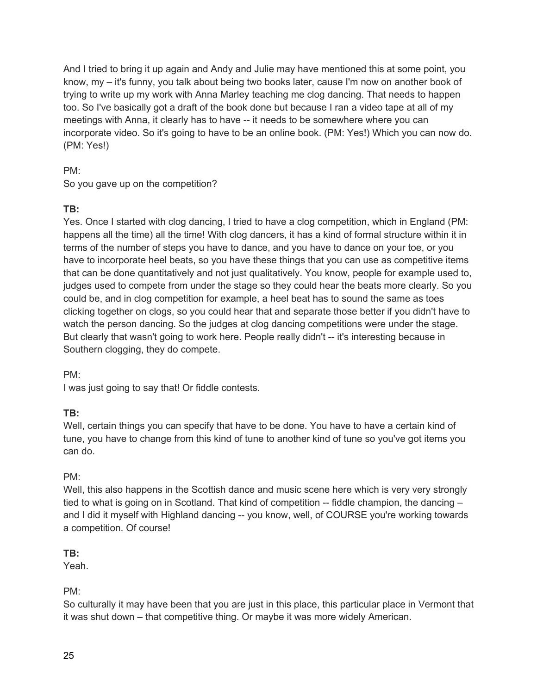And I tried to bring it up again and Andy and Julie may have mentioned this at some point, you know, my – it's funny, you talk about being two books later, cause I'm now on another book of trying to write up my work with Anna Marley teaching me clog dancing. That needs to happen too. So I've basically got a draft of the book done but because I ran a video tape at all of my meetings with Anna, it clearly has to have -- it needs to be somewhere where you can incorporate video. So it's going to have to be an online book. (PM: Yes!) Which you can now do. (PM: Yes!)

#### PM:

So you gave up on the competition?

## **TB:**

Yes. Once I started with clog dancing, I tried to have a clog competition, which in England (PM: happens all the time) all the time! With clog dancers, it has a kind of formal structure within it in terms of the number of steps you have to dance, and you have to dance on your toe, or you have to incorporate heel beats, so you have these things that you can use as competitive items that can be done quantitatively and not just qualitatively. You know, people for example used to, judges used to compete from under the stage so they could hear the beats more clearly. So you could be, and in clog competition for example, a heel beat has to sound the same as toes clicking together on clogs, so you could hear that and separate those better if you didn't have to watch the person dancing. So the judges at clog dancing competitions were under the stage. But clearly that wasn't going to work here. People really didn't -- it's interesting because in Southern clogging, they do compete.

### PM:

I was just going to say that! Or fiddle contests.

# **TB:**

Well, certain things you can specify that have to be done. You have to have a certain kind of tune, you have to change from this kind of tune to another kind of tune so you've got items you can do.

# PM:

Well, this also happens in the Scottish dance and music scene here which is very very strongly tied to what is going on in Scotland. That kind of competition -- fiddle champion, the dancing and I did it myself with Highland dancing -- you know, well, of COURSE you're working towards a competition. Of course!

# **TB:**

Yeah.

# PM:

So culturally it may have been that you are just in this place, this particular place in Vermont that it was shut down – that competitive thing. Or maybe it was more widely American.